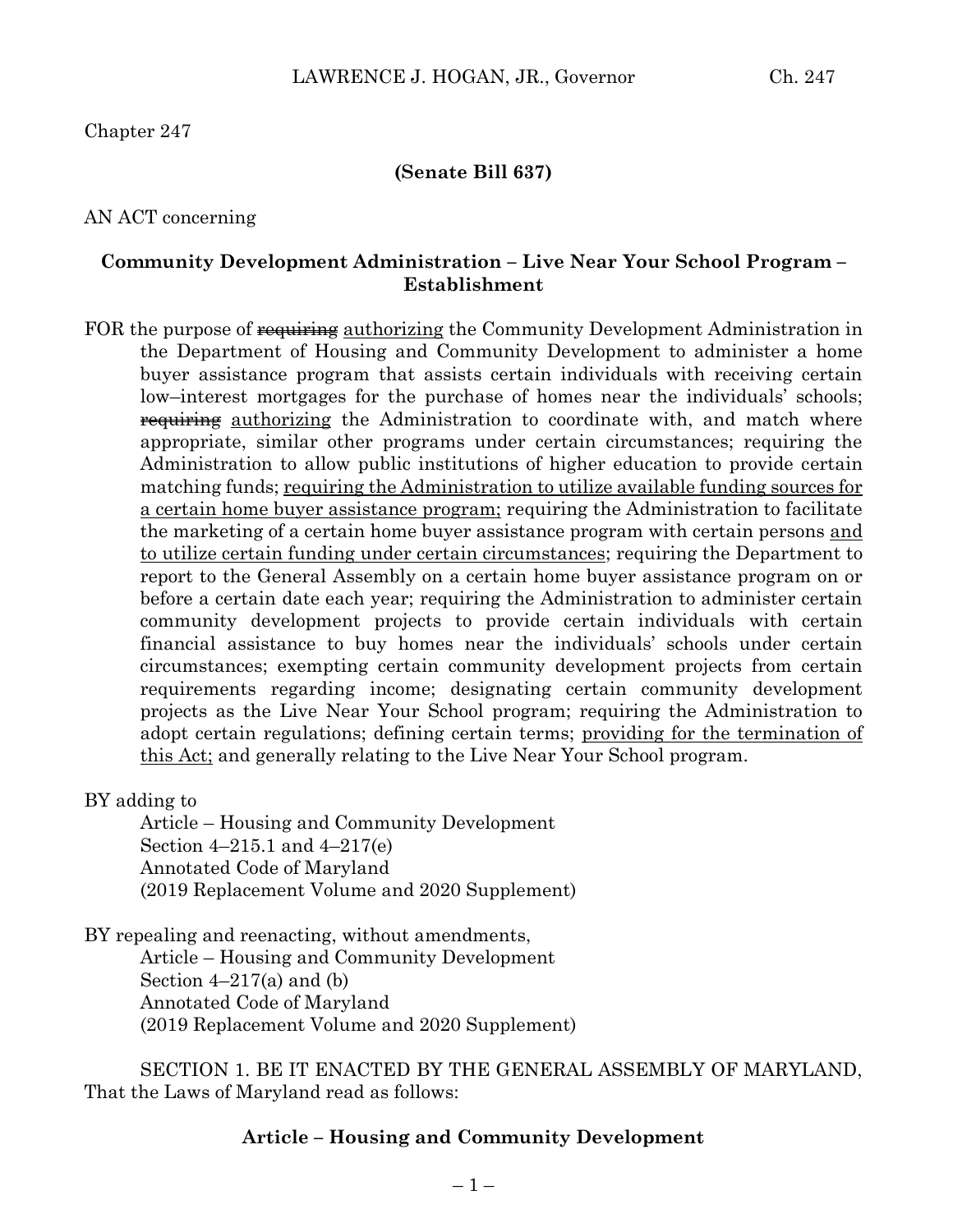## **(Senate Bill 637)**

## AN ACT concerning

## **Community Development Administration – Live Near Your School Program – Establishment**

FOR the purpose of requiring authorizing the Community Development Administration in the Department of Housing and Community Development to administer a home buyer assistance program that assists certain individuals with receiving certain low–interest mortgages for the purchase of homes near the individuals' schools; **requiring** authorizing the Administration to coordinate with, and match where appropriate, similar other programs under certain circumstances; requiring the Administration to allow public institutions of higher education to provide certain matching funds; requiring the Administration to utilize available funding sources for a certain home buyer assistance program; requiring the Administration to facilitate the marketing of a certain home buyer assistance program with certain persons and to utilize certain funding under certain circumstances; requiring the Department to report to the General Assembly on a certain home buyer assistance program on or before a certain date each year; requiring the Administration to administer certain community development projects to provide certain individuals with certain financial assistance to buy homes near the individuals' schools under certain circumstances; exempting certain community development projects from certain requirements regarding income; designating certain community development projects as the Live Near Your School program; requiring the Administration to adopt certain regulations; defining certain terms; providing for the termination of this Act; and generally relating to the Live Near Your School program.

BY adding to

Article – Housing and Community Development Section 4–215.1 and 4–217(e) Annotated Code of Maryland (2019 Replacement Volume and 2020 Supplement)

BY repealing and reenacting, without amendments, Article – Housing and Community Development Section  $4-217(a)$  and (b) Annotated Code of Maryland (2019 Replacement Volume and 2020 Supplement)

SECTION 1. BE IT ENACTED BY THE GENERAL ASSEMBLY OF MARYLAND, That the Laws of Maryland read as follows:

## **Article – Housing and Community Development**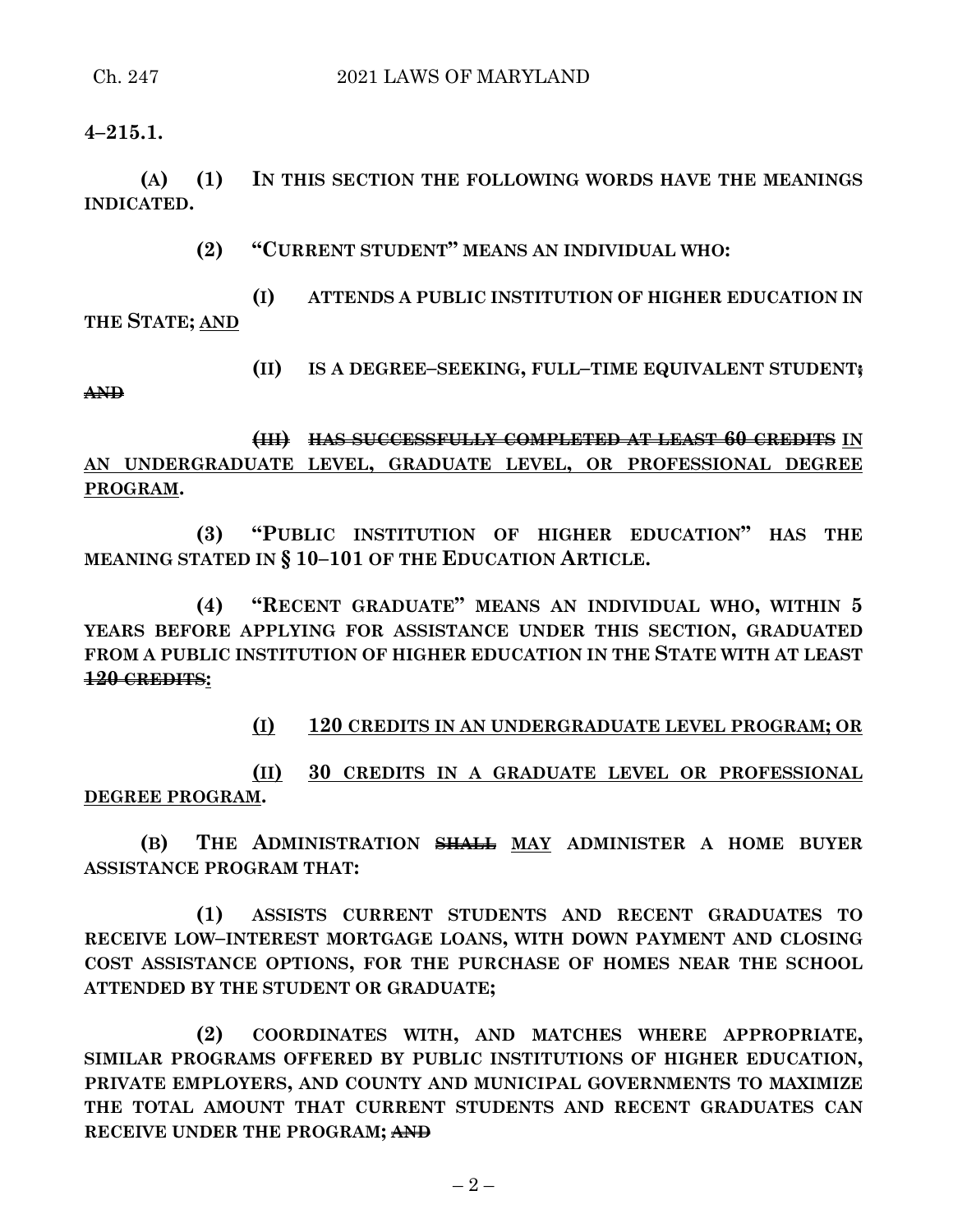# **4–215.1.**

**(A) (1) IN THIS SECTION THE FOLLOWING WORDS HAVE THE MEANINGS INDICATED.**

**(2) "CURRENT STUDENT" MEANS AN INDIVIDUAL WHO:**

**(I) ATTENDS A PUBLIC INSTITUTION OF HIGHER EDUCATION IN THE STATE; AND**

**(II) IS A DEGREE–SEEKING, FULL–TIME EQUIVALENT STUDENT;**

#### **AND**

**(III) HAS SUCCESSFULLY COMPLETED AT LEAST 60 CREDITS IN AN UNDERGRADUATE LEVEL, GRADUATE LEVEL, OR PROFESSIONAL DEGREE PROGRAM.**

**(3) "PUBLIC INSTITUTION OF HIGHER EDUCATION" HAS THE MEANING STATED IN § 10–101 OF THE EDUCATION ARTICLE.**

**(4) "RECENT GRADUATE" MEANS AN INDIVIDUAL WHO, WITHIN 5 YEARS BEFORE APPLYING FOR ASSISTANCE UNDER THIS SECTION, GRADUATED FROM A PUBLIC INSTITUTION OF HIGHER EDUCATION IN THE STATE WITH AT LEAST 120 CREDITS:**

**(I) 120 CREDITS IN AN UNDERGRADUATE LEVEL PROGRAM; OR**

**(II) 30 CREDITS IN A GRADUATE LEVEL OR PROFESSIONAL DEGREE PROGRAM.**

**(B) THE ADMINISTRATION SHALL MAY ADMINISTER A HOME BUYER ASSISTANCE PROGRAM THAT:**

**(1) ASSISTS CURRENT STUDENTS AND RECENT GRADUATES TO RECEIVE LOW–INTEREST MORTGAGE LOANS, WITH DOWN PAYMENT AND CLOSING COST ASSISTANCE OPTIONS, FOR THE PURCHASE OF HOMES NEAR THE SCHOOL ATTENDED BY THE STUDENT OR GRADUATE;**

**(2) COORDINATES WITH, AND MATCHES WHERE APPROPRIATE, SIMILAR PROGRAMS OFFERED BY PUBLIC INSTITUTIONS OF HIGHER EDUCATION, PRIVATE EMPLOYERS, AND COUNTY AND MUNICIPAL GOVERNMENTS TO MAXIMIZE THE TOTAL AMOUNT THAT CURRENT STUDENTS AND RECENT GRADUATES CAN RECEIVE UNDER THE PROGRAM; AND**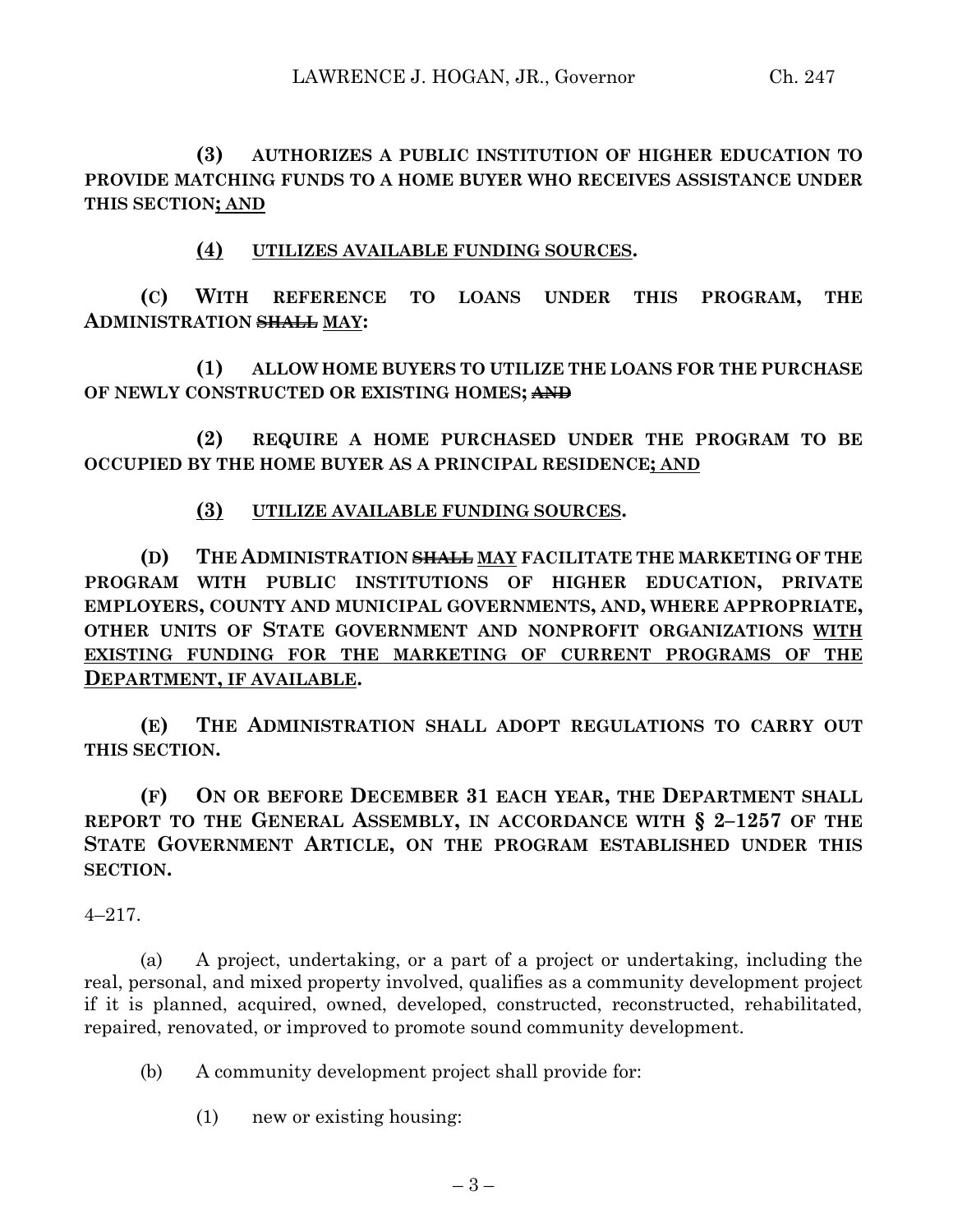**(3) AUTHORIZES A PUBLIC INSTITUTION OF HIGHER EDUCATION TO PROVIDE MATCHING FUNDS TO A HOME BUYER WHO RECEIVES ASSISTANCE UNDER THIS SECTION; AND**

**(4) UTILIZES AVAILABLE FUNDING SOURCES.**

**(C) WITH REFERENCE TO LOANS UNDER THIS PROGRAM, THE ADMINISTRATION SHALL MAY:**

**(1) ALLOW HOME BUYERS TO UTILIZE THE LOANS FOR THE PURCHASE OF NEWLY CONSTRUCTED OR EXISTING HOMES; AND**

**(2) REQUIRE A HOME PURCHASED UNDER THE PROGRAM TO BE OCCUPIED BY THE HOME BUYER AS A PRINCIPAL RESIDENCE; AND**

**(3) UTILIZE AVAILABLE FUNDING SOURCES.**

**(D) THE ADMINISTRATION SHALL MAY FACILITATE THE MARKETING OF THE PROGRAM WITH PUBLIC INSTITUTIONS OF HIGHER EDUCATION, PRIVATE EMPLOYERS, COUNTY AND MUNICIPAL GOVERNMENTS, AND, WHERE APPROPRIATE, OTHER UNITS OF STATE GOVERNMENT AND NONPROFIT ORGANIZATIONS WITH EXISTING FUNDING FOR THE MARKETING OF CURRENT PROGRAMS OF THE DEPARTMENT, IF AVAILABLE.**

**(E) THE ADMINISTRATION SHALL ADOPT REGULATIONS TO CARRY OUT THIS SECTION.**

**(F) ON OR BEFORE DECEMBER 31 EACH YEAR, THE DEPARTMENT SHALL REPORT TO THE GENERAL ASSEMBLY, IN ACCORDANCE WITH § 2–1257 OF THE STATE GOVERNMENT ARTICLE, ON THE PROGRAM ESTABLISHED UNDER THIS SECTION.**

4–217.

(a) A project, undertaking, or a part of a project or undertaking, including the real, personal, and mixed property involved, qualifies as a community development project if it is planned, acquired, owned, developed, constructed, reconstructed, rehabilitated, repaired, renovated, or improved to promote sound community development.

(b) A community development project shall provide for:

(1) new or existing housing: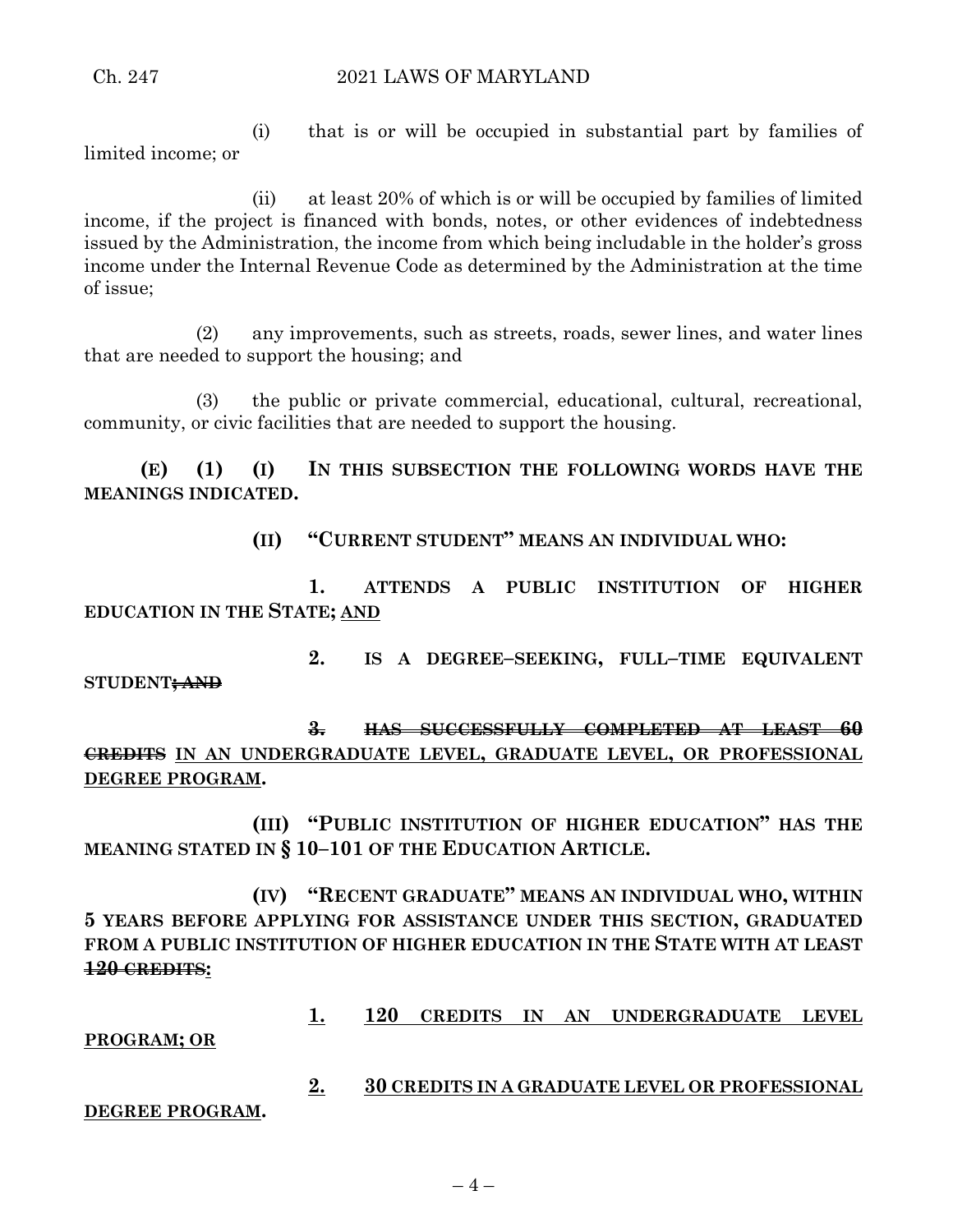(i) that is or will be occupied in substantial part by families of limited income; or

(ii) at least 20% of which is or will be occupied by families of limited income, if the project is financed with bonds, notes, or other evidences of indebtedness issued by the Administration, the income from which being includable in the holder's gross income under the Internal Revenue Code as determined by the Administration at the time of issue;

(2) any improvements, such as streets, roads, sewer lines, and water lines that are needed to support the housing; and

(3) the public or private commercial, educational, cultural, recreational, community, or civic facilities that are needed to support the housing.

**(E) (1) (I) IN THIS SUBSECTION THE FOLLOWING WORDS HAVE THE MEANINGS INDICATED.**

**(II) "CURRENT STUDENT" MEANS AN INDIVIDUAL WHO:**

**1. ATTENDS A PUBLIC INSTITUTION OF HIGHER EDUCATION IN THE STATE; AND**

**2. IS A DEGREE–SEEKING, FULL–TIME EQUIVALENT STUDENT; AND**

**3. HAS SUCCESSFULLY COMPLETED AT LEAST 60 CREDITS IN AN UNDERGRADUATE LEVEL, GRADUATE LEVEL, OR PROFESSIONAL DEGREE PROGRAM.**

**(III) "PUBLIC INSTITUTION OF HIGHER EDUCATION" HAS THE MEANING STATED IN § 10–101 OF THE EDUCATION ARTICLE.**

**(IV) "RECENT GRADUATE" MEANS AN INDIVIDUAL WHO, WITHIN 5 YEARS BEFORE APPLYING FOR ASSISTANCE UNDER THIS SECTION, GRADUATED FROM A PUBLIC INSTITUTION OF HIGHER EDUCATION IN THE STATE WITH AT LEAST 120 CREDITS:**

**1. 120 CREDITS IN AN UNDERGRADUATE LEVEL** 

**2. 30 CREDITS IN A GRADUATE LEVEL OR PROFESSIONAL** 

**PROGRAM; OR**

**DEGREE PROGRAM.**